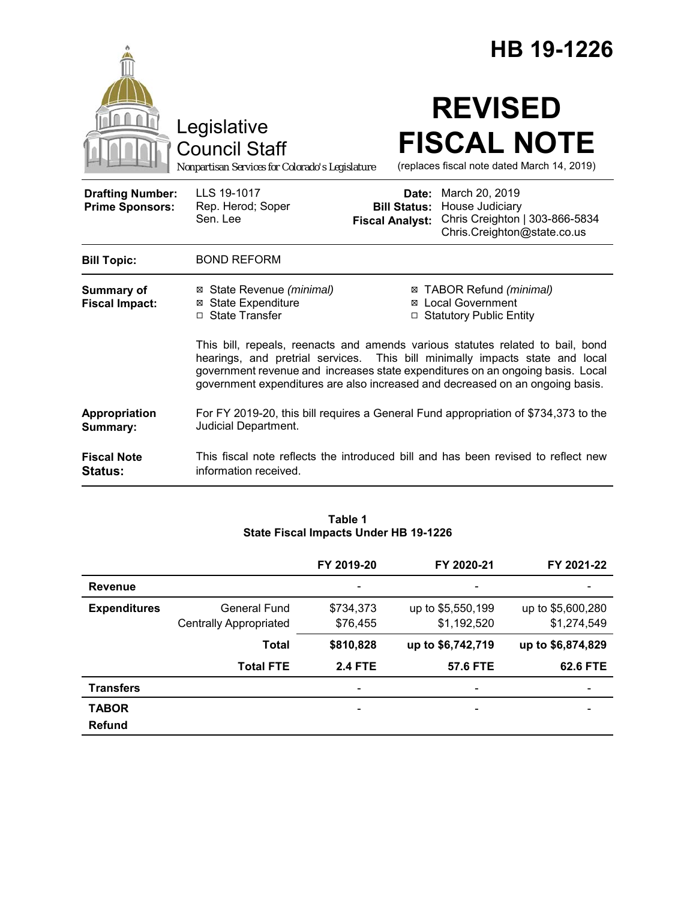|                                                   |                                                                                                                                                                                                                                                                                                                                   | HB 19-1226                                             |                                                                             |                                                                   |
|---------------------------------------------------|-----------------------------------------------------------------------------------------------------------------------------------------------------------------------------------------------------------------------------------------------------------------------------------------------------------------------------------|--------------------------------------------------------|-----------------------------------------------------------------------------|-------------------------------------------------------------------|
|                                                   | Legislative<br><b>Council Staff</b><br>Nonpartisan Services for Colorado's Legislature                                                                                                                                                                                                                                            |                                                        | <b>REVISED</b>                                                              | <b>FISCAL NOTE</b><br>(replaces fiscal note dated March 14, 2019) |
| <b>Drafting Number:</b><br><b>Prime Sponsors:</b> | LLS 19-1017<br>Rep. Herod; Soper<br>Sen. Lee                                                                                                                                                                                                                                                                                      | Date:<br><b>Bill Status:</b><br><b>Fiscal Analyst:</b> | March 20, 2019<br>House Judiciary                                           | Chris Creighton   303-866-5834<br>Chris.Creighton@state.co.us     |
| <b>Bill Topic:</b>                                | <b>BOND REFORM</b>                                                                                                                                                                                                                                                                                                                |                                                        |                                                                             |                                                                   |
| Summary of<br><b>Fiscal Impact:</b>               | ⊠ State Revenue (minimal)<br><b>⊠</b> State Expenditure<br>□ State Transfer                                                                                                                                                                                                                                                       |                                                        | ⊠ TABOR Refund (minimal)<br>⊠ Local Government<br>□ Statutory Public Entity |                                                                   |
|                                                   | This bill, repeals, reenacts and amends various statutes related to bail, bond<br>hearings, and pretrial services. This bill minimally impacts state and local<br>government revenue and increases state expenditures on an ongoing basis. Local<br>government expenditures are also increased and decreased on an ongoing basis. |                                                        |                                                                             |                                                                   |
| Appropriation<br>Summary:                         | For FY 2019-20, this bill requires a General Fund appropriation of \$734,373 to the<br>Judicial Department.                                                                                                                                                                                                                       |                                                        |                                                                             |                                                                   |
| <b>Fiscal Note</b><br><b>Status:</b>              | This fiscal note reflects the introduced bill and has been revised to reflect new<br>information received.                                                                                                                                                                                                                        |                                                        |                                                                             |                                                                   |

|                     | State Fiscal Impacts Under HD 19-1226 |            |                   |                   |  |
|---------------------|---------------------------------------|------------|-------------------|-------------------|--|
|                     |                                       | FY 2019-20 | FY 2020-21        | FY 2021-22        |  |
| <b>Revenue</b>      |                                       |            |                   |                   |  |
| <b>Expenditures</b> | General Fund                          | \$734,373  | up to \$5,550,199 | up to \$5,600,280 |  |
|                     | <b>Centrally Appropriated</b>         | \$76.455   | \$1,192,520       | \$1,274,549       |  |
|                     | Total                                 | \$810.828  | up to \$6.742.719 | up to \$6,874,829 |  |

#### **Table 1 State Fiscal Impacts Under HB 19-1226**

|                  | <b>Centrally Appropriated</b> | \$76,455                 | \$1,192,520              | \$1,274,549              |  |
|------------------|-------------------------------|--------------------------|--------------------------|--------------------------|--|
|                  | <b>Total</b>                  | \$810,828                | up to \$6,742,719        | up to \$6,874,829        |  |
|                  | <b>Total FTE</b>              | <b>2.4 FTE</b>           | 57.6 FTE                 | 62.6 FTE                 |  |
| <b>Transfers</b> |                               | $\overline{\phantom{0}}$ | $\overline{\phantom{a}}$ | $\overline{\phantom{a}}$ |  |
| <b>TABOR</b>     |                               | $\overline{\phantom{0}}$ | $\overline{\phantom{0}}$ | $\overline{\phantom{a}}$ |  |
| <b>Refund</b>    |                               |                          |                          |                          |  |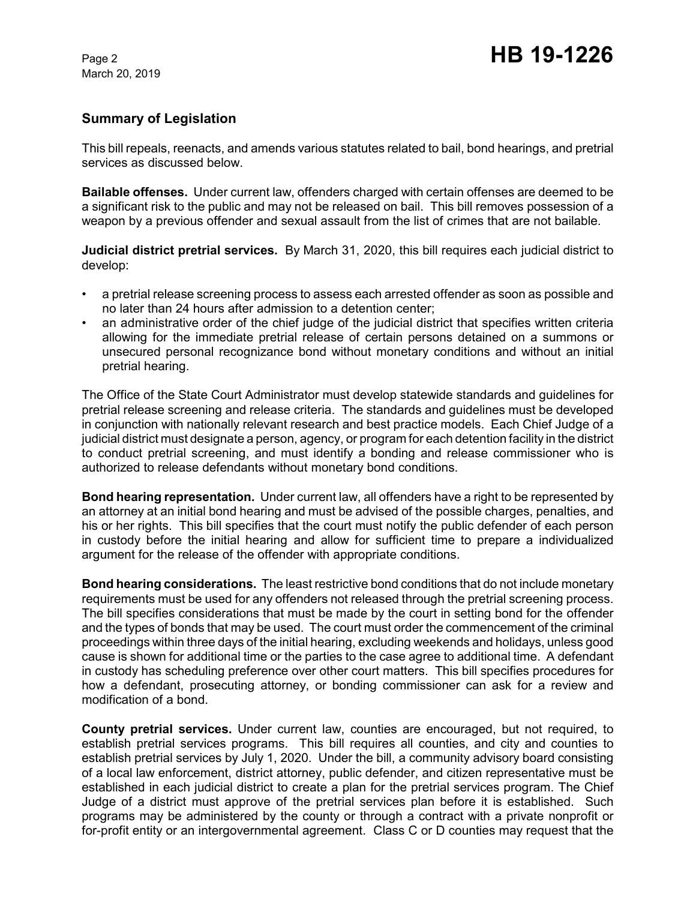# **Summary of Legislation**

This bill repeals, reenacts, and amends various statutes related to bail, bond hearings, and pretrial services as discussed below.

**Bailable offenses.** Under current law, offenders charged with certain offenses are deemed to be a significant risk to the public and may not be released on bail. This bill removes possession of a weapon by a previous offender and sexual assault from the list of crimes that are not bailable.

**Judicial district pretrial services.** By March 31, 2020, this bill requires each judicial district to develop:

- a pretrial release screening process to assess each arrested offender as soon as possible and no later than 24 hours after admission to a detention center;
- an administrative order of the chief judge of the judicial district that specifies written criteria allowing for the immediate pretrial release of certain persons detained on a summons or unsecured personal recognizance bond without monetary conditions and without an initial pretrial hearing.

The Office of the State Court Administrator must develop statewide standards and guidelines for pretrial release screening and release criteria. The standards and guidelines must be developed in conjunction with nationally relevant research and best practice models. Each Chief Judge of a judicial district must designate a person, agency, or program for each detention facility in the district to conduct pretrial screening, and must identify a bonding and release commissioner who is authorized to release defendants without monetary bond conditions.

**Bond hearing representation.** Under current law, all offenders have a right to be represented by an attorney at an initial bond hearing and must be advised of the possible charges, penalties, and his or her rights. This bill specifies that the court must notify the public defender of each person in custody before the initial hearing and allow for sufficient time to prepare a individualized argument for the release of the offender with appropriate conditions.

**Bond hearing considerations.** The least restrictive bond conditions that do not include monetary requirements must be used for any offenders not released through the pretrial screening process. The bill specifies considerations that must be made by the court in setting bond for the offender and the types of bonds that may be used. The court must order the commencement of the criminal proceedings within three days of the initial hearing, excluding weekends and holidays, unless good cause is shown for additional time or the parties to the case agree to additional time. A defendant in custody has scheduling preference over other court matters. This bill specifies procedures for how a defendant, prosecuting attorney, or bonding commissioner can ask for a review and modification of a bond.

**County pretrial services.** Under current law, counties are encouraged, but not required, to establish pretrial services programs. This bill requires all counties, and city and counties to establish pretrial services by July 1, 2020. Under the bill, a community advisory board consisting of a local law enforcement, district attorney, public defender, and citizen representative must be established in each judicial district to create a plan for the pretrial services program. The Chief Judge of a district must approve of the pretrial services plan before it is established. Such programs may be administered by the county or through a contract with a private nonprofit or for-profit entity or an intergovernmental agreement. Class C or D counties may request that the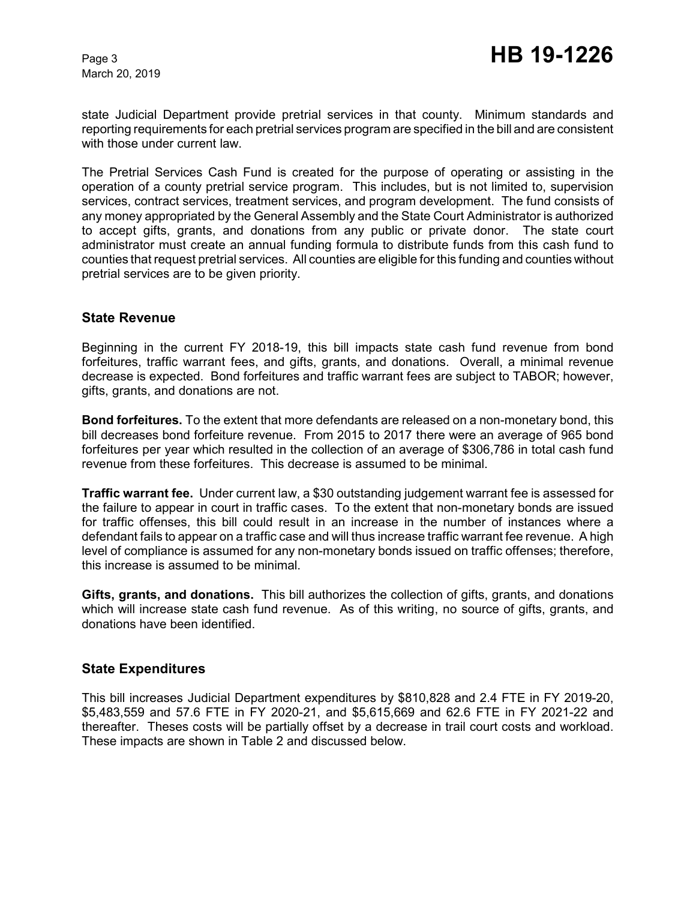state Judicial Department provide pretrial services in that county. Minimum standards and reporting requirements for each pretrial services program are specified in the bill and are consistent with those under current law.

The Pretrial Services Cash Fund is created for the purpose of operating or assisting in the operation of a county pretrial service program. This includes, but is not limited to, supervision services, contract services, treatment services, and program development. The fund consists of any money appropriated by the General Assembly and the State Court Administrator is authorized to accept gifts, grants, and donations from any public or private donor. The state court administrator must create an annual funding formula to distribute funds from this cash fund to counties that request pretrial services. All counties are eligible for this funding and counties without pretrial services are to be given priority.

### **State Revenue**

Beginning in the current FY 2018-19, this bill impacts state cash fund revenue from bond forfeitures, traffic warrant fees, and gifts, grants, and donations. Overall, a minimal revenue decrease is expected. Bond forfeitures and traffic warrant fees are subject to TABOR; however, gifts, grants, and donations are not.

**Bond forfeitures.** To the extent that more defendants are released on a non-monetary bond, this bill decreases bond forfeiture revenue. From 2015 to 2017 there were an average of 965 bond forfeitures per year which resulted in the collection of an average of \$306,786 in total cash fund revenue from these forfeitures. This decrease is assumed to be minimal.

**Traffic warrant fee.** Under current law, a \$30 outstanding judgement warrant fee is assessed for the failure to appear in court in traffic cases. To the extent that non-monetary bonds are issued for traffic offenses, this bill could result in an increase in the number of instances where a defendant fails to appear on a traffic case and will thus increase traffic warrant fee revenue. A high level of compliance is assumed for any non-monetary bonds issued on traffic offenses; therefore, this increase is assumed to be minimal.

**Gifts, grants, and donations.** This bill authorizes the collection of gifts, grants, and donations which will increase state cash fund revenue. As of this writing, no source of gifts, grants, and donations have been identified.

# **State Expenditures**

This bill increases Judicial Department expenditures by \$810,828 and 2.4 FTE in FY 2019-20, \$5,483,559 and 57.6 FTE in FY 2020-21, and \$5,615,669 and 62.6 FTE in FY 2021-22 and thereafter. Theses costs will be partially offset by a decrease in trail court costs and workload. These impacts are shown in Table 2 and discussed below.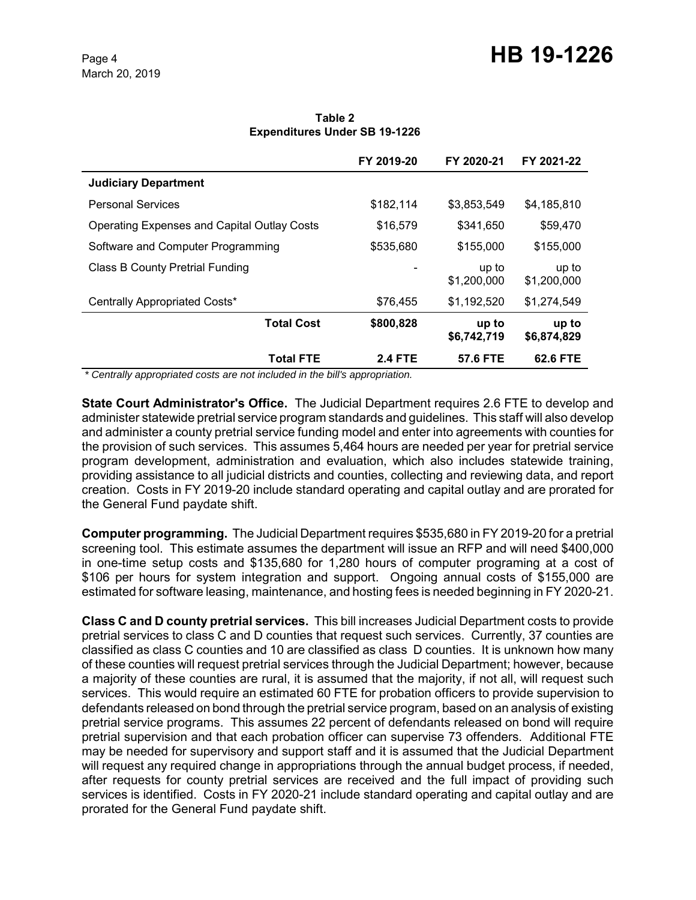**Table 2 Expenditures Under SB 19-1226**

|                                                    | FY 2019-20     | FY 2020-21           | FY 2021-22           |
|----------------------------------------------------|----------------|----------------------|----------------------|
| <b>Judiciary Department</b>                        |                |                      |                      |
| <b>Personal Services</b>                           | \$182,114      | \$3,853,549          | \$4,185,810          |
| <b>Operating Expenses and Capital Outlay Costs</b> | \$16,579       | \$341,650            | \$59,470             |
| Software and Computer Programming                  | \$535,680      | \$155,000            | \$155,000            |
| <b>Class B County Pretrial Funding</b>             |                | up to<br>\$1,200,000 | up to<br>\$1,200,000 |
| Centrally Appropriated Costs*                      | \$76,455       | \$1,192,520          | \$1,274,549          |
| <b>Total Cost</b>                                  | \$800,828      | up to<br>\$6,742,719 | up to<br>\$6,874,829 |
| <b>Total FTE</b>                                   | <b>2.4 FTE</b> | 57.6 FTE             | 62.6 FTE             |

 *\* Centrally appropriated costs are not included in the bill's appropriation.*

**State Court Administrator's Office.** The Judicial Department requires 2.6 FTE to develop and administer statewide pretrial service program standards and guidelines. This staff will also develop and administer a county pretrial service funding model and enter into agreements with counties for the provision of such services. This assumes 5,464 hours are needed per year for pretrial service program development, administration and evaluation, which also includes statewide training, providing assistance to all judicial districts and counties, collecting and reviewing data, and report creation. Costs in FY 2019-20 include standard operating and capital outlay and are prorated for the General Fund paydate shift.

**Computer programming.** The Judicial Department requires \$535,680 in FY 2019-20 for a pretrial screening tool. This estimate assumes the department will issue an RFP and will need \$400,000 in one-time setup costs and \$135,680 for 1,280 hours of computer programing at a cost of \$106 per hours for system integration and support. Ongoing annual costs of \$155,000 are estimated for software leasing, maintenance, and hosting fees is needed beginning in FY 2020-21.

**Class C and D county pretrial services.** This bill increases Judicial Department costs to provide pretrial services to class C and D counties that request such services. Currently, 37 counties are classified as class C counties and 10 are classified as class D counties. It is unknown how many of these counties will request pretrial services through the Judicial Department; however, because a majority of these counties are rural, it is assumed that the majority, if not all, will request such services. This would require an estimated 60 FTE for probation officers to provide supervision to defendants released on bond through the pretrial service program, based on an analysis of existing pretrial service programs. This assumes 22 percent of defendants released on bond will require pretrial supervision and that each probation officer can supervise 73 offenders. Additional FTE may be needed for supervisory and support staff and it is assumed that the Judicial Department will request any required change in appropriations through the annual budget process, if needed, after requests for county pretrial services are received and the full impact of providing such services is identified. Costs in FY 2020-21 include standard operating and capital outlay and are prorated for the General Fund paydate shift.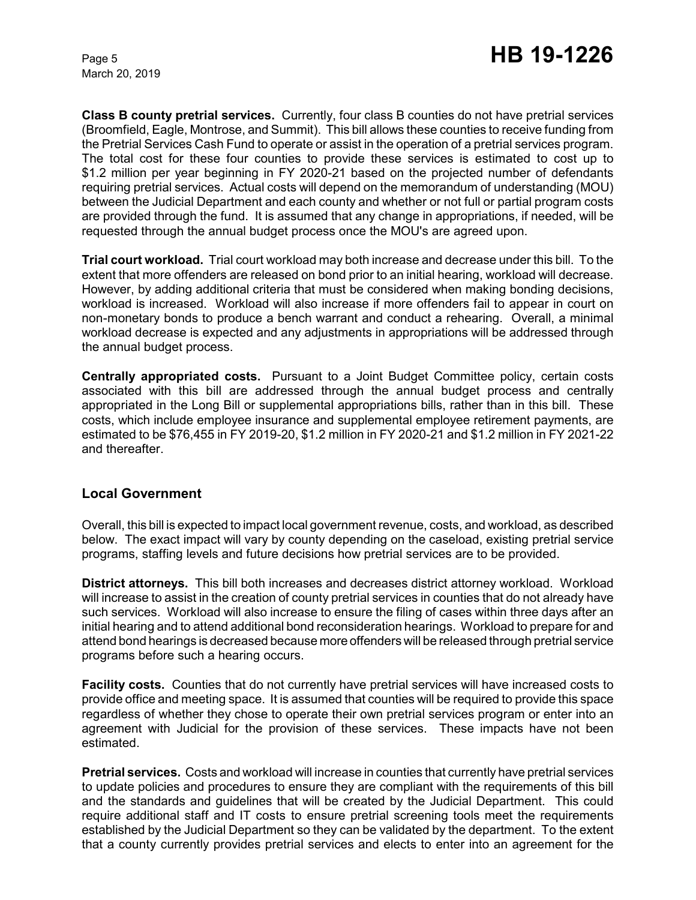**Class B county pretrial services.** Currently, four class B counties do not have pretrial services (Broomfield, Eagle, Montrose, and Summit). This bill allows these counties to receive funding from the Pretrial Services Cash Fund to operate or assist in the operation of a pretrial services program. The total cost for these four counties to provide these services is estimated to cost up to \$1.2 million per year beginning in FY 2020-21 based on the projected number of defendants requiring pretrial services. Actual costs will depend on the memorandum of understanding (MOU) between the Judicial Department and each county and whether or not full or partial program costs are provided through the fund. It is assumed that any change in appropriations, if needed, will be requested through the annual budget process once the MOU's are agreed upon.

**Trial court workload.** Trial court workload may both increase and decrease under this bill. To the extent that more offenders are released on bond prior to an initial hearing, workload will decrease. However, by adding additional criteria that must be considered when making bonding decisions, workload is increased. Workload will also increase if more offenders fail to appear in court on non-monetary bonds to produce a bench warrant and conduct a rehearing. Overall, a minimal workload decrease is expected and any adjustments in appropriations will be addressed through the annual budget process.

**Centrally appropriated costs.** Pursuant to a Joint Budget Committee policy, certain costs associated with this bill are addressed through the annual budget process and centrally appropriated in the Long Bill or supplemental appropriations bills, rather than in this bill. These costs, which include employee insurance and supplemental employee retirement payments, are estimated to be \$76,455 in FY 2019-20, \$1.2 million in FY 2020-21 and \$1.2 million in FY 2021-22 and thereafter.

### **Local Government**

Overall, this bill is expected to impact local government revenue, costs, and workload, as described below. The exact impact will vary by county depending on the caseload, existing pretrial service programs, staffing levels and future decisions how pretrial services are to be provided.

**District attorneys.** This bill both increases and decreases district attorney workload. Workload will increase to assist in the creation of county pretrial services in counties that do not already have such services. Workload will also increase to ensure the filing of cases within three days after an initial hearing and to attend additional bond reconsideration hearings. Workload to prepare for and attend bond hearings is decreased because more offenders will be released through pretrial service programs before such a hearing occurs.

**Facility costs.** Counties that do not currently have pretrial services will have increased costs to provide office and meeting space. It is assumed that counties will be required to provide this space regardless of whether they chose to operate their own pretrial services program or enter into an agreement with Judicial for the provision of these services. These impacts have not been estimated.

**Pretrial services.** Costs and workload will increase in counties that currently have pretrial services to update policies and procedures to ensure they are compliant with the requirements of this bill and the standards and guidelines that will be created by the Judicial Department. This could require additional staff and IT costs to ensure pretrial screening tools meet the requirements established by the Judicial Department so they can be validated by the department. To the extent that a county currently provides pretrial services and elects to enter into an agreement for the